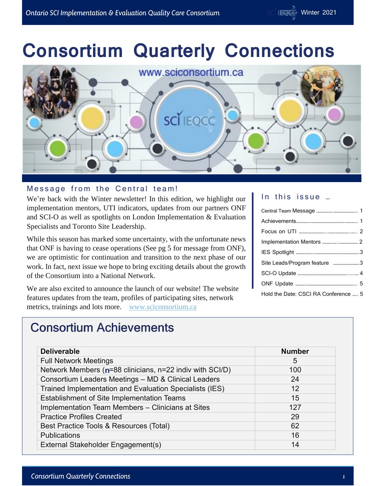# **Consortium Quarterly Connections**



#### Message from the Central team!

We're back with the Winter newsletter! In this edition, we highlight our implementation mentors, UTI indicators, updates from our partners ONF and SCI-O as well as spotlights on London Implementation & Evaluation Specialists and Toronto Site Leadership.

While this season has marked some uncertainty, with the unfortunate news that ONF is having to cease operations (See pg 5 for message from ONF), we are optimistic for continuation and transition to the next phase of our work. In fact, next issue we hope to bring exciting details about the growth of the Consortium into a National Network.

We are also excited to announce the launch of our website! The website features updates from the team, profiles of participating sites, network metrics, trainings and lots more. [www.sciconsortium.ca](http://www.sciconsortium.ca/)

#### In this issue ...

| Site Leads/Program feature 3         |  |
|--------------------------------------|--|
|                                      |  |
|                                      |  |
| Hold the Date: CSCI RA Conference  5 |  |

### **Consortium Achievements**

| <b>Deliverable</b>                                       | <b>Number</b> |
|----------------------------------------------------------|---------------|
| <b>Full Network Meetings</b>                             | 5             |
| Network Members (n=88 clinicians, n=22 indiv with SCI/D) | 100           |
| Consortium Leaders Meetings - MD & Clinical Leaders      | 24            |
| Trained Implementation and Evaluation Specialists (IES)  | 12            |
| Establishment of Site Implementation Teams               | 15            |
| Implementation Team Members - Clinicians at Sites        | 127           |
| <b>Practice Profiles Created</b>                         | 29            |
| Best Practice Tools & Resources (Total)                  | 62            |
| <b>Publications</b>                                      | 16            |
| External Stakeholder Engagement(s)                       | 14            |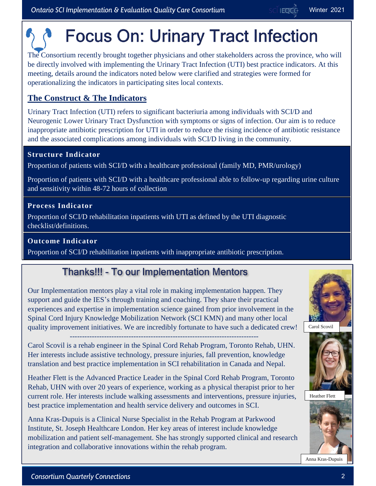# **Focus On: Urinary Tract Infection**

The Consortium recently brought together physicians and other stakeholders across the province, who will be directly involved with implementing the Urinary Tract Infection (UTI) best practice indicators. At this meeting, details around the indicators noted below were clarified and strategies were formed for operationalizing the indicators in participating sites local contexts.

#### **The Construct & The Indicators**

Urinary Tract Infection (UTI) refers to significant bacteriuria among individuals with SCI/D and Neurogenic Lower Urinary Tract Dysfunction with symptoms or signs of infection. Our aim is to reduce inappropriate antibiotic prescription for UTI in order to reduce the rising incidence of antibiotic resistance and the associated complications among individuals with SCI/D living in the community.

#### **Structure Indicator**

Proportion of patients with SCI/D with a healthcare professional (family MD, PMR/urology)

Proportion of patients with SCI/D with a healthcare professional able to follow-up regarding urine culture and sensitivity within 48-72 hours of collection

#### **Process Indicator**

Proportion of SCI/D rehabilitation inpatients with UTI as defined by the UTI diagnostic checklist/definitions.

#### **Outcome Indicator**

Proportion of SCI/D rehabilitation inpatients with inappropriate antibiotic prescription.

### **Thanks!!! - To our Implementation Mentors**

Our Implementation mentors play a vital role in making implementation happen. They support and guide the IES's through training and coaching. They share their practical experiences and expertise in implementation science gained from prior involvement in the Spinal Cord Injury Knowledge Mobilization Network (SCI KMN) and many other local quality improvement initiatives. We are incredibly fortunate to have such a dedicated crew!

-----------------------------------------------------------------------------

Carol Scovil is a rehab engineer in the Spinal Cord Rehab Program, Toronto Rehab, UHN. Her interests include assistive technology, pressure injuries, fall prevention, knowledge translation and best practice implementation in SCI rehabilitation in Canada and Nepal.

Heather Flett is the Advanced Practice Leader in the Spinal Cord Rehab Program, Toronto Rehab, UHN with over 20 years of experience, working as a physical therapist prior to her current role. Her interests include walking assessments and interventions, pressure injuries, best practice implementation and health service delivery and outcomes in SCI.

Anna Kras-Dupuis is a Clinical Nurse Specialist in the Rehab Program at Parkwood Institute, St. Joseph Healthcare London. Her key areas of interest include knowledge mobilization and patient self-management. She has strongly supported clinical and research integration and collaborative innovations within the rehab program.





Heather Flett



Anna Kras-Dupuis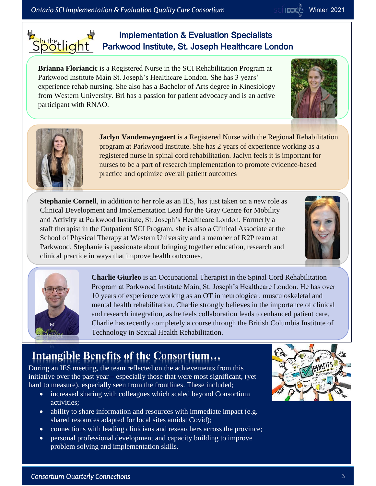Spotlight

#### Implementation & Evaluation Specialists Parkwood Institute, St. Joseph Healthcare London

**Brianna Floriancic** is a Registered Nurse in the SCI Rehabilitation Program at Parkwood Institute Main St. Joseph's Healthcare London. She has 3 years' experience rehab nursing. She also has a Bachelor of Arts degree in Kinesiology from Western University. Bri has a passion for patient advocacy and is an active participant with RNAO.

> **Jaclyn Vandenwyngaert** is a Registered Nurse with the Regional Rehabilitation program at Parkwood Institute. She has 2 years of experience working as a registered nurse in spinal cord rehabilitation. Jaclyn feels it is important for nurses to be a part of research implementation to promote evidence-based practice and optimize overall patient outcomes

**Charlie Giurleo** is an Occupational Therapist in the Spinal Cord Rehabilitation Program at Parkwood Institute Main, St. Joseph's Healthcare London. He has over 10 years of experience working as an OT in neurological, musculoskeletal and mental health rehabilitation. Charlie strongly believes in the importance of clinical and research integration, as he feels collaboration leads to enhanced patient care. Charlie has recently completely a course through the British Columbia Institute of

**Stephanie Cornell**, in addition to her role as an IES, has just taken on a new role as Clinical Development and Implementation Lead for the Gray Centre for Mobility and Activity at Parkwood Institute, St. Joseph's Healthcare London. Formerly a staff therapist in the Outpatient SCI Program, she is also a Clinical Associate at the School of Physical Therapy at Western University and a member of R2P team at Parkwood. Stephanie is passionate about bringing together education, research and clinical practice in ways that improve health outcomes.

## **Intangible Benefits of the Consortium…**

During an IES meeting, the team reflected on the achievements from this initiative over the past year – especially those that were most significant, (yet hard to measure), especially seen from the frontlines. These included;

Technology in Sexual Health Rehabilitation.

- increased sharing with colleagues which scaled beyond Consortium activities;
- ability to share information and resources with immediate impact (e.g. shared resources adapted for local sites amidst Covid);
- connections with leading clinicians and researchers across the province;
- personal professional development and capacity building to improve problem solving and implementation skills.





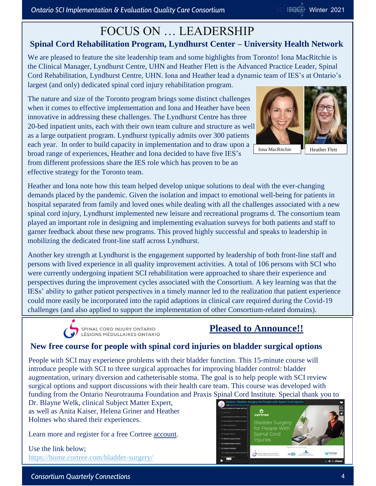#### FOCUS ON … LEADERSHIP **Spinal Cord Rehabilitation Program, Lyndhurst Center – University Health Network**

We are pleased to feature the site leadership team and some highlights from Toronto! Iona MacRitchie is the Clinical Manager, Lyndhurst Centre, UHN and Heather Flett is the Advanced Practice Leader, Spinal Cord Rehabilitation, Lyndhurst Centre, UHN. Iona and Heather lead a dynamic team of IES's at Ontario's largest (and only) dedicated spinal cord injury rehabilitation program.

The nature and size of the Toronto program brings some distinct challenges when it comes to effective implementation and Iona and Heather have been innovative in addressing these challenges. The Lyndhurst Centre has three 20-bed inpatient units, each with their own team culture and structure as well as a large outpatient program. Lyndhurst typically admits over 300 patients each year. In order to build capacity in implementation and to draw upon a broad range of experiences, Heather and Iona decided to have five IES's from different professions share the IES role which has proven to be an effective strategy for the Toronto team.

Iona MacRitchie



Heather and Iona note how this team helped develop unique solutions to deal with the ever-changing demands placed by the pandemic. Given the isolation and impact to emotional well-being for patients in hospital separated from family and loved ones while dealing with all the challenges associated with a new spinal cord injury, Lyndhurst implemented new leisure and recreational programs d. The consortium team played an important role in designing and implementing evaluation surveys for both patients and staff to garner feedback about these new programs. This proved highly successful and speaks to leadership in mobilizing the dedicated front-line staff across Lyndhurst.

Another key strength at Lyndhurst is the engagement supported by leadership of both front-line staff and persons with lived experience in all quality improvement activities. A total of 106 persons with SCI who were currently undergoing inpatient SCI rehabilitation were approached to share their experience and perspectives during the improvement cycles associated with the Consortium. A key learning was that the IESs' ability to gather patient perspectives in a timely manner led to the realization that patient experience could more easily be incorporated into the rapid adaptions in clinical care required during the Covid-19 challenges (and also applied to support the implementation of other Consortium-related domains).



#### **Pleased to Announce!!**

#### **New free course for people with spinal cord injuries on bladder surgical options**

People with SCI may experience problems with their bladder function. This 15-minute course will introduce people with SCI to three surgical approaches for improving bladder control: bladder augmentation, urinary diversion and catheterisable stoma. The goal is to help people with SCI review surgical options and support discussions with their health care team. This course was developed with funding from the Ontario Neurotrauma Foundation and Praxis Spinal Cord Institute. Special thank you to

Dr. Blayne Welk, clinical Subject Matter Expert, as well as Anita Kaiser, Helena Griner and Heather Holmes who shared their experiences.

Learn more and register for a free Cortree [account.](https://home.cortree.com/bladder-surgery/)

Use the link below; <https://home.cortree.com/bladder-surgery/>